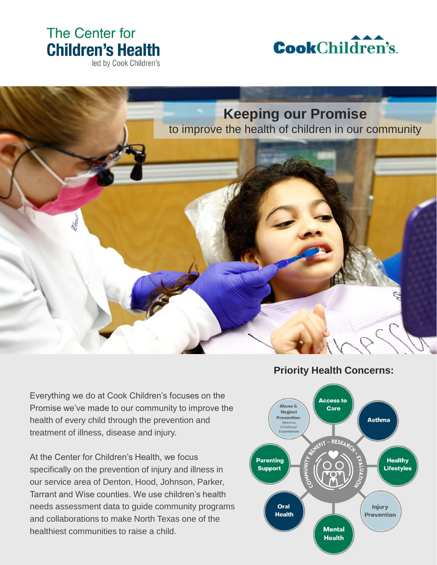# The Center for **Children's Health**

led by Cook Children's





Everything we do at Cook Children's focuses on the Promise we've made to our community to improve the health of every child through the prevention and treatment of illness, disease and injury.

At the Center for Children's Health, we focus specifically on the prevention of injury and illness in our service area of Denton, Hood, Johnson, Parker, Tarrant and Wise counties. We use children's health needs assessment data to guide community programs and collaborations to make North Texas one of the healthiest communities to raise a child.

### **Priority Health Concerns:**